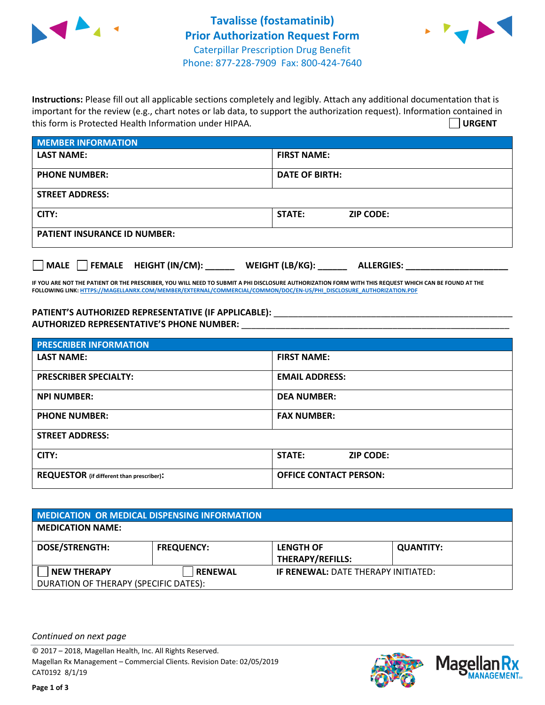



**Instructions:** Please fill out all applicable sections completely and legibly. Attach any additional documentation that is important for the review (e.g., chart notes or lab data, to support the authorization request). Information contained in this form is Protected Health Information under HIPAA. **URGENT**

| <b>MEMBER INFORMATION</b>             |                                      |  |  |  |
|---------------------------------------|--------------------------------------|--|--|--|
| <b>LAST NAME:</b>                     | <b>FIRST NAME:</b>                   |  |  |  |
| <b>PHONE NUMBER:</b>                  | <b>DATE OF BIRTH:</b>                |  |  |  |
| <b>STREET ADDRESS:</b>                |                                      |  |  |  |
| CITY:                                 | <b>STATE:</b><br><b>ZIP CODE:</b>    |  |  |  |
| <b>PATIENT INSURANCE ID NUMBER:</b>   |                                      |  |  |  |
| FEMALE HEIGHT (IN/CM):<br><b>MALE</b> | WEIGHT (LB/KG):<br><b>ALLERGIES:</b> |  |  |  |

**IF YOU ARE NOT THE PATIENT OR THE PRESCRIBER, YOU WILL NEED TO SUBMIT A PHI DISCLOSURE AUTHORIZATION FORM WITH THIS REQUEST WHICH CAN BE FOUND AT THE FOLLOWING LINK[: HTTPS://MAGELLANRX.COM/MEMBER/EXTERNAL/COMMERCIAL/COMMON/DOC/EN-US/PHI\\_DISCLOSURE\\_AUTHORIZATION.PDF](https://magellanrx.com/member/external/commercial/common/doc/en-us/PHI_Disclosure_Authorization.pdf)**

PATIENT'S AUTHORIZED REPRESENTATIVE (IF APPLICABLE): \_\_\_\_\_\_\_\_\_\_\_\_\_\_\_\_\_\_\_\_\_\_\_\_\_\_\_ **AUTHORIZED REPRESENTATIVE'S PHONE NUMBER:** \_\_\_\_\_\_\_\_\_\_\_\_\_\_\_\_\_\_\_\_\_\_\_\_\_\_\_\_\_\_\_\_\_\_\_\_\_\_\_\_\_\_\_\_\_\_\_\_\_\_\_\_\_\_\_

| <b>PRESCRIBER INFORMATION</b>             |                               |  |  |  |
|-------------------------------------------|-------------------------------|--|--|--|
| <b>LAST NAME:</b>                         | <b>FIRST NAME:</b>            |  |  |  |
| <b>PRESCRIBER SPECIALTY:</b>              | <b>EMAIL ADDRESS:</b>         |  |  |  |
| <b>NPI NUMBER:</b>                        | <b>DEA NUMBER:</b>            |  |  |  |
| <b>PHONE NUMBER:</b>                      | <b>FAX NUMBER:</b>            |  |  |  |
| <b>STREET ADDRESS:</b>                    |                               |  |  |  |
| CITY:                                     | STATE:<br><b>ZIP CODE:</b>    |  |  |  |
| REQUESTOR (if different than prescriber): | <b>OFFICE CONTACT PERSON:</b> |  |  |  |

| MEDICATION OR MEDICAL DISPENSING INFORMATION |                   |                                            |                  |  |  |
|----------------------------------------------|-------------------|--------------------------------------------|------------------|--|--|
| <b>MEDICATION NAME:</b>                      |                   |                                            |                  |  |  |
| <b>DOSE/STRENGTH:</b>                        | <b>FREQUENCY:</b> | <b>LENGTH OF</b>                           | <b>QUANTITY:</b> |  |  |
|                                              |                   | <b>THERAPY/REFILLS:</b>                    |                  |  |  |
| <b>NEW THERAPY</b>                           | <b>RENEWAL</b>    | <b>IF RENEWAL: DATE THERAPY INITIATED:</b> |                  |  |  |
| DURATION OF THERAPY (SPECIFIC DATES):        |                   |                                            |                  |  |  |

*Continued on next page*

© 2017 – 2018, Magellan Health, Inc. All Rights Reserved. Magellan Rx Management – Commercial Clients. Revision Date: 02/05/2019 CAT0192 8/1/19



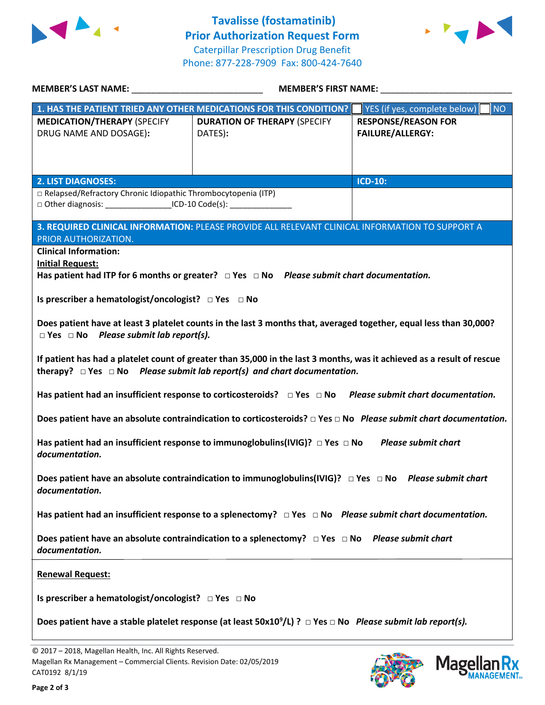



| MEMBER'S LAST NAME: _________________________________                                                                                                                                                        | <b>MEMBER'S FIRST NAME:</b> NAME:                                  |                                                       |  |  |
|--------------------------------------------------------------------------------------------------------------------------------------------------------------------------------------------------------------|--------------------------------------------------------------------|-------------------------------------------------------|--|--|
|                                                                                                                                                                                                              | 1. HAS THE PATIENT TRIED ANY OTHER MEDICATIONS FOR THIS CONDITION? | NO<br>YES (if yes, complete below)                    |  |  |
| <b>MEDICATION/THERAPY (SPECIFY</b><br>DRUG NAME AND DOSAGE):                                                                                                                                                 | <b>DURATION OF THERAPY (SPECIFY</b><br>DATES):                     | <b>RESPONSE/REASON FOR</b><br><b>FAILURE/ALLERGY:</b> |  |  |
| <b>2. LIST DIAGNOSES:</b>                                                                                                                                                                                    |                                                                    | <b>ICD-10:</b>                                        |  |  |
| □ Relapsed/Refractory Chronic Idiopathic Thrombocytopenia (ITP)<br>□ Other diagnosis: ________________________ICD-10 Code(s): ____________________                                                           |                                                                    |                                                       |  |  |
| 3. REQUIRED CLINICAL INFORMATION: PLEASE PROVIDE ALL RELEVANT CLINICAL INFORMATION TO SUPPORT A<br>PRIOR AUTHORIZATION.                                                                                      |                                                                    |                                                       |  |  |
| <b>Clinical Information:</b><br><b>Initial Request:</b><br>Has patient had ITP for 6 months or greater? $\Box$ Yes $\Box$ No Please submit chart documentation.                                              |                                                                    |                                                       |  |  |
| Is prescriber a hematologist/oncologist? □ Yes □ No                                                                                                                                                          |                                                                    |                                                       |  |  |
| Does patient have at least 3 platelet counts in the last 3 months that, averaged together, equal less than 30,000?<br>$\Box$ Yes $\Box$ No Please submit lab report(s).                                      |                                                                    |                                                       |  |  |
| If patient has had a platelet count of greater than 35,000 in the last 3 months, was it achieved as a result of rescue<br>therapy? $\Box$ Yes $\Box$ No Please submit lab report(s) and chart documentation. |                                                                    |                                                       |  |  |
| Has patient had an insufficient response to corticosteroids? $\Box$ Yes $\Box$ No Please submit chart documentation.                                                                                         |                                                                    |                                                       |  |  |
| Does patient have an absolute contraindication to corticosteroids? $\Box$ Yes $\Box$ No Please submit chart documentation.                                                                                   |                                                                    |                                                       |  |  |
| Has patient had an insufficient response to immunoglobulins(IVIG)? $\Box$ Yes $\Box$ No Please submit chart<br>documentation.                                                                                |                                                                    |                                                       |  |  |
| Does patient have an absolute contraindication to immunoglobulins(IVIG)? $\Box$ Yes $\Box$ No Please submit chart<br>documentation.                                                                          |                                                                    |                                                       |  |  |
| Has patient had an insufficient response to a splenectomy? $\Box$ Yes $\Box$ No Please submit chart documentation.                                                                                           |                                                                    |                                                       |  |  |
| Does patient have an absolute contraindication to a splenectomy? $\Box$ Yes $\Box$ No Please submit chart<br>documentation.                                                                                  |                                                                    |                                                       |  |  |
| <b>Renewal Request:</b>                                                                                                                                                                                      |                                                                    |                                                       |  |  |
|                                                                                                                                                                                                              |                                                                    |                                                       |  |  |
| Does patient have a stable platelet response (at least $50x10^9/L$ ) ? $\Box$ Yes $\Box$ No Please submit lab report(s).                                                                                     |                                                                    |                                                       |  |  |
|                                                                                                                                                                                                              |                                                                    |                                                       |  |  |

© 2017 – 2018, Magellan Health, Inc. All Rights Reserved. Magellan Rx Management – Commercial Clients. Revision Date: 02/05/2019 CAT0192 8/1/19



**Magellar** 

**Ilan Rx<br>ANAGEMENT**